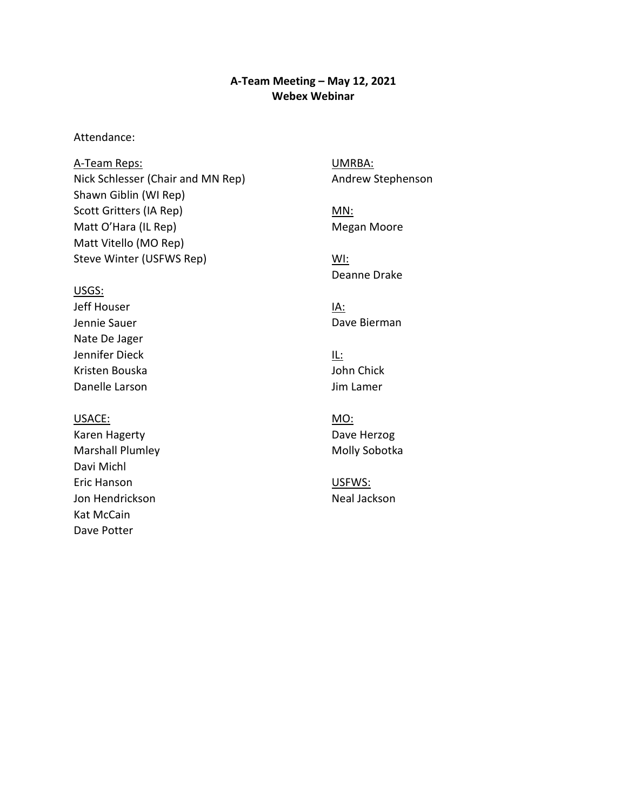#### **A-Team Meeting – May 12, 2021 Webex Webinar**

Attendance:

A-Team Reps: Nick Schlesser (Chair and MN Rep) Shawn Giblin (WI Rep) Scott Gritters (IA Rep) Matt O'Hara (IL Rep) Matt Vitello (MO Rep) Steve Winter (USFWS Rep)

USGS:

Jeff Houser Jennie Sauer Nate De Jager Jennifer Dieck Kristen Bouska Danelle Larson

USACE:

Karen Hagerty Marshall Plumley Davi Michl Eric Hanson Jon Hendrickson Kat McCain Dave Potter

UMRBA: Andrew Stephenson

MN: Megan Moore

WI: Deanne Drake

IA: Dave Bierman

IL: John Chick Jim Lamer

MO: Dave Herzog Molly Sobotka

USFWS: Neal Jackson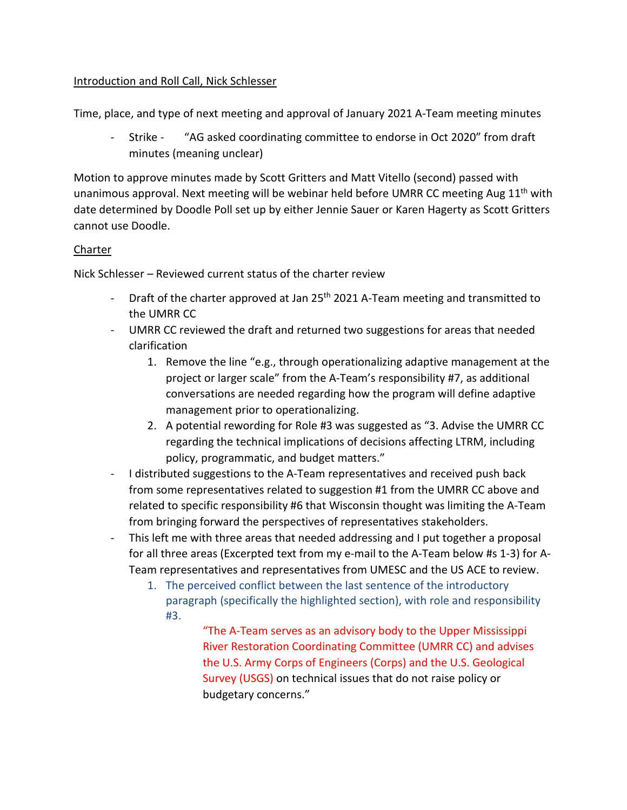# Introduction and Roll Call, Nick Schlesser

Time, place, and type of next meeting and approval of January 2021 A-Team meeting minutes

 - Strike - "AG asked coordinating committee to endorse in Oct 2020" from draft minutes (meaning unclear)

cannot use Doodle.<br><u>Charter</u> Motion to approve minutes made by Scott Gritters and Matt Vitello (second) passed with unanimous approval. Next meeting will be webinar held before UMRR CC meeting Aug  $11<sup>th</sup>$  with date determined by Doodle Poll set up by either Jennie Sauer or Karen Hagerty as Scott Gritters

Nick Schlesser – Reviewed current status of the charter review

- Draft of the charter approved at Jan 25<sup>th</sup> 2021 A-Team meeting and transmitted to the UMRR CC
- UMRR CC reviewed the draft and returned two suggestions for areas that needed clarification
	- 1. Remove the line "e.g., through operationalizing adaptive management at the project or larger scale" from the A-Team's responsibility #7, as additional conversations are needed regarding how the program will define adaptive management prior to operationalizing.
	- 2. A potential rewording for Role #3 was suggested as "3. Advise the UMRR CC regarding the technical implications of decisions affecting LTRM, including policy, programmatic, and budget matters."
- - I distributed suggestions to the A-Team representatives and received push back from bringing forward the perspectives of representatives stakeholders. from some representatives related to suggestion #1 from the UMRR CC above and related to specific responsibility #6 that Wisconsin thought was limiting the A-Team
- - This left me with three areas that needed addressing and I put together a proposal for all three areas (Excerpted text from my e-mail to the A-Team below #s 1-3) for A- Team representatives and representatives from UMESC and the US ACE to review.
	- 1. The perceived conflict between the last sentence of the introductory paragraph (specifically the highlighted section), with role and responsibility #3.

 the U.S. Army Corps of Engineers (Corps) and the U.S. Geological Survey (USGS) on technical issues that do not raise policy or "The A-Team serves as an advisory body to the Upper Mississippi River Restoration Coordinating Committee (UMRR CC) and advises budgetary concerns."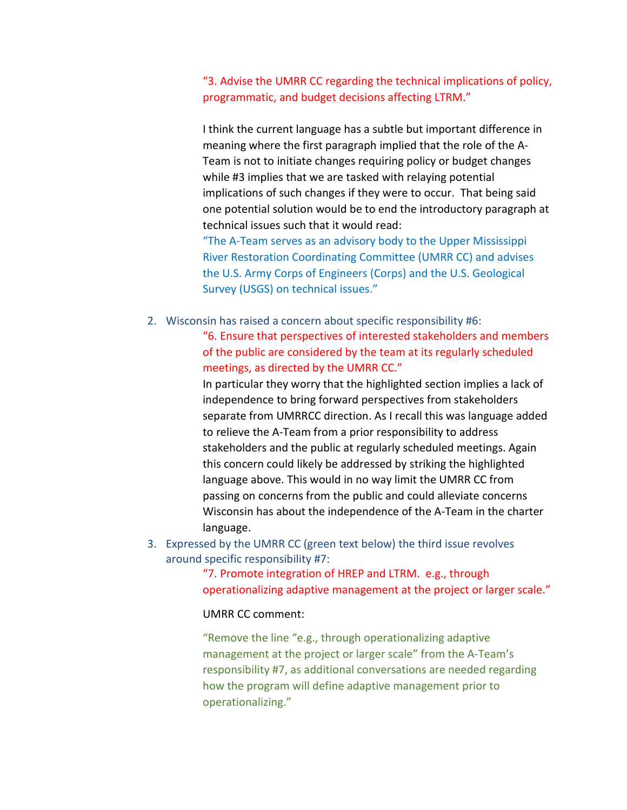"3. Advise the UMRR CC regarding the technical implications of policy, programmatic, and budget decisions affecting LTRM."

 meaning where the first paragraph implied that the role of the A- Team is not to initiate changes requiring policy or budget changes implications of such changes if they were to occur. That being said I think the current language has a subtle but important difference in while #3 implies that we are tasked with relaying potential one potential solution would be to end the introductory paragraph at technical issues such that it would read:

 the U.S. Army Corps of Engineers (Corps) and the U.S. Geological "The A-Team serves as an advisory body to the Upper Mississippi River Restoration Coordinating Committee (UMRR CC) and advises Survey (USGS) on technical issues."

2. Wisconsin has raised a concern about specific responsibility #6:

 meetings, as directed by the UMRR CC." "6. Ensure that perspectives of interested stakeholders and members of the public are considered by the team at its regularly scheduled

 In particular they worry that the highlighted section implies a lack of to relieve the A-Team from a prior responsibility to address stakeholders and the public at regularly scheduled meetings. Again this concern could likely be addressed by striking the highlighted independence to bring forward perspectives from stakeholders separate from UMRRCC direction. As I recall this was language added language above. This would in no way limit the UMRR CC from passing on concerns from the public and could alleviate concerns Wisconsin has about the independence of the A-Team in the charter language.

3. Expressed by the UMRR CC (green text below) the third issue revolves around specific responsibility #7:

> "7. Promote integration of HREP and LTRM. e.g., through operationalizing adaptive management at the project or larger scale."

UMRR CC comment:

 "Remove the line "e.g., through operationalizing adaptive management at the project or larger scale" from the A-Team's responsibility #7, as additional conversations are needed regarding how the program will define adaptive management prior to operationalizing."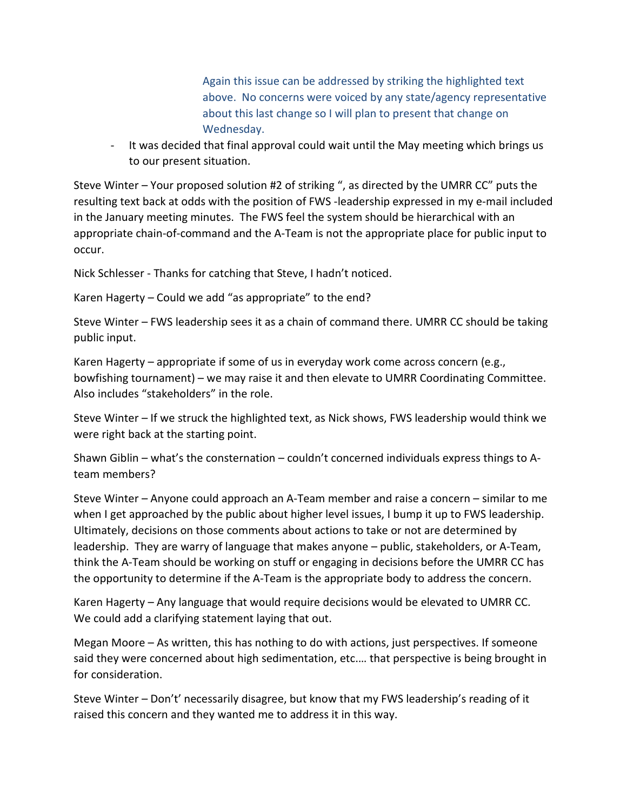above. No concerns were voiced by any state/agency representative Again this issue can be addressed by striking the highlighted text about this last change so I will plan to present that change on Wednesday.

- It was decided that final approval could wait until the May meeting which brings us to our present situation.

 Steve Winter – Your proposed solution #2 of striking ", as directed by the UMRR CC" puts the in the January meeting minutes. The FWS feel the system should be hierarchical with an resulting text back at odds with the position of FWS -leadership expressed in my e-mail included appropriate chain-of-command and the A-Team is not the appropriate place for public input to occur.

Nick Schlesser - Thanks for catching that Steve, I hadn't noticed.

Karen Hagerty – Could we add "as appropriate" to the end?

Steve Winter – FWS leadership sees it as a chain of command there. UMRR CC should be taking public input.

Karen Hagerty – appropriate if some of us in everyday work come across concern (e.g., bowfishing tournament) – we may raise it and then elevate to UMRR Coordinating Committee. Also includes "stakeholders" in the role.

 Steve Winter – If we struck the highlighted text, as Nick shows, FWS leadership would think we were right back at the starting point.

Shawn Giblin – what's the consternation – couldn't concerned individuals express things to Ateam members?

when I get approached by the public about higher level issues, I bump it up to FWS leadership. when I get approached by the public about higher level issues, I bump it up to FWS leadership.<br>Ultimately, decisions on those comments about actions to take or not are determined by think the A-Team should be working on stuff or engaging in decisions before the UMRR CC has the opportunity to determine if the A-Team is the appropriate body to address the concern. Steve Winter – Anyone could approach an A-Team member and raise a concern – similar to me leadership. They are warry of language that makes anyone – public, stakeholders, or A-Team,

Karen Hagerty – Any language that would require decisions would be elevated to UMRR CC.<br>We could add a clarifying statement laying that out.

 Megan Moore – As written, this has nothing to do with actions, just perspectives. If someone said they were concerned about high sedimentation, etc.… that perspective is being brought in for consideration.

 raised this concern and they wanted me to address it in this way. Steve Winter – Don't' necessarily disagree, but know that my FWS leadership's reading of it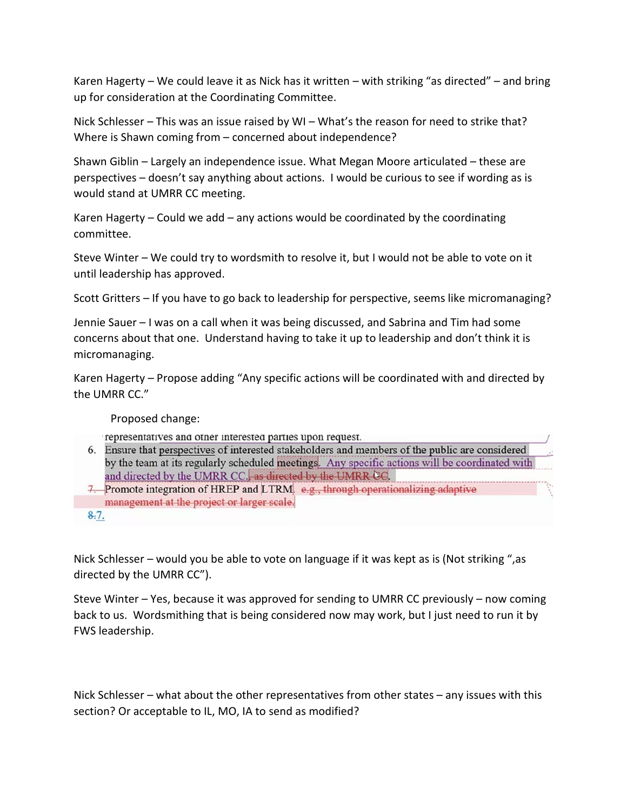Karen Hagerty – We could leave it as Nick has it written – with striking "as directed" – and bring up for consideration at the Coordinating Committee.

 Nick Schlesser – This was an issue raised by WI – What's the reason for need to strike that? Where is Shawn coming from – concerned about independence?

Shawn Giblin – Largely an independence issue. What Megan Moore articulated – these are perspectives – doesn't say anything about actions. I would be curious to see if wording as is would stand at UMRR CC meeting.

 Karen Hagerty – Could we add – any actions would be coordinated by the coordinating committee.

 Steve Winter – We could try to wordsmith to resolve it, but I would not be able to vote on it until leadership has approved.

Scott Gritters – If you have to go back to leadership for perspective, seems like micromanaging?

 Jennie Sauer – I was on a call when it was being discussed, and Sabrina and Tim had some concerns about that one. Understand having to take it up to leadership and don't think it is micromanaging.

Karen Hagerty – Propose adding "Any specific actions will be coordinated with and directed by the UMRR CC."

Proposed change:

representatives and other interested parties upon request.

- 6. Ensure that perspectives of interested stakeholders and members of the public are considered by the team at its regularly scheduled meetings. Any specific actions will be coordinated with and directed by the UMRR CC., as directed by the UMRR CC.
- 7. Promote integration of HREP and LTRM. e.g., through operationalizing adaptive management at the project or larger scale.

Nick Schlesser – would you be able to vote on language if it was kept as is (Not striking ",as directed by the UMRR CC").

Steve Winter – Yes, because it was approved for sending to UMRR CC previously – now coming back to us. Wordsmithing that is being considered now may work, but I just need to run it by FWS leadership.

 Nick Schlesser – what about the other representatives from other states – any issues with this section? Or acceptable to IL, MO, IA to send as modified?

 $8.7.$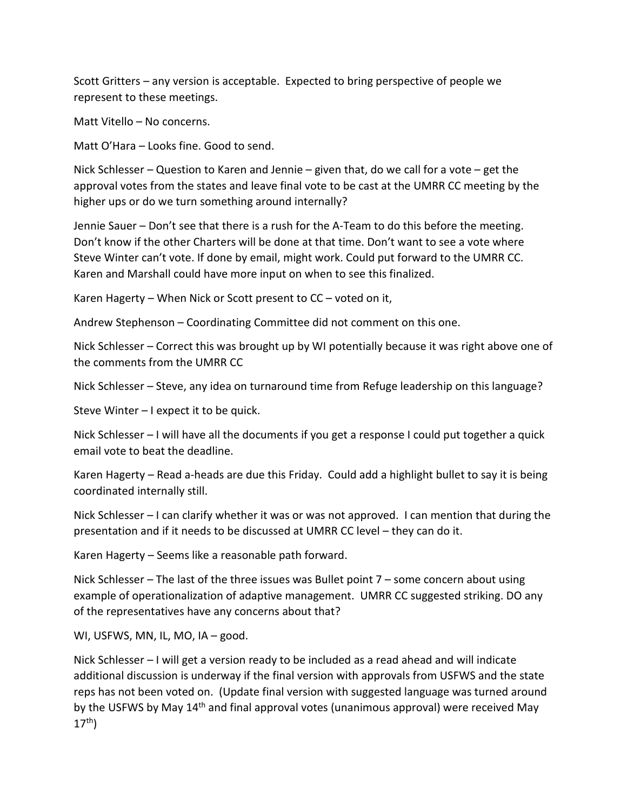Scott Gritters – any version is acceptable. Expected to bring perspective of people we represent to these meetings.

Matt Vitello – No concerns.

Matt O'Hara – Looks fine. Good to send.

 Nick Schlesser – Question to Karen and Jennie – given that, do we call for a vote – get the approval votes from the states and leave final vote to be cast at the UMRR CC meeting by the higher ups or do we turn something around internally?

 Jennie Sauer – Don't see that there is a rush for the A-Team to do this before the meeting. Don't know if the other Charters will be done at that time. Don't want to see a vote where Steve Winter can't vote. If done by email, might work. Could put forward to the UMRR CC. Karen and Marshall could have more input on when to see this finalized.

Karen Hagerty – When Nick or Scott present to CC – voted on it,

Andrew Stephenson – Coordinating Committee did not comment on this one.

 Nick Schlesser – Correct this was brought up by WI potentially because it was right above one of the comments from the UMRR CC

Nick Schlesser – Steve, any idea on turnaround time from Refuge leadership on this language?

Steve Winter – I expect it to be quick.

 Nick Schlesser – I will have all the documents if you get a response I could put together a quick email vote to beat the deadline.

 Karen Hagerty – Read a-heads are due this Friday. Could add a highlight bullet to say it is being coordinated internally still.

 Nick Schlesser – I can clarify whether it was or was not approved. I can mention that during the presentation and if it needs to be discussed at UMRR CC level – they can do it.

Karen Hagerty – Seems like a reasonable path forward.

 example of operationalization of adaptive management. UMRR CC suggested striking. DO any Nick Schlesser – The last of the three issues was Bullet point 7 – some concern about using of the representatives have any concerns about that?

WI, USFWS, MN, IL, MO, IA – good.

 Nick Schlesser – I will get a version ready to be included as a read ahead and will indicate additional discussion is underway if the final version with approvals from USFWS and the state reps has not been voted on. (Update final version with suggested language was turned around by the USFWS by May 14<sup>th</sup> and final approval votes (unanimous approval) were received May  $17<sup>th</sup>$ )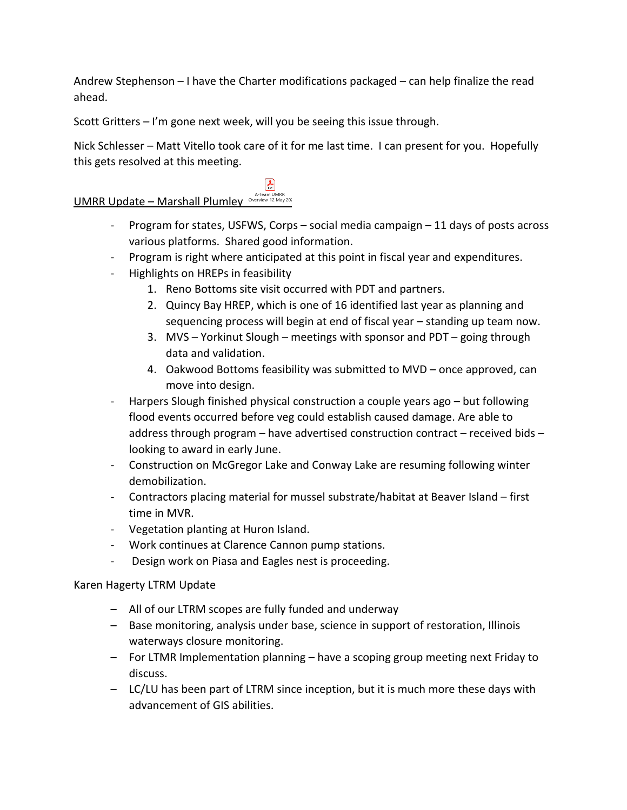Andrew Stephenson – I have the Charter modifications packaged – can help finalize the read ahead.

Scott Gritters – I'm gone next week, will you be seeing this issue through.

 $\left| \frac{1}{2} \right|$ 

 Nick Schlesser – Matt Vitello took care of it for me last time. I can present for you. Hopefully this gets resolved at this meeting.

# A-Team UMRR<br>Overview 12 May

- various platforms. Shared good information. - Program for states, USFWS, Corps – social media campaign  $-11$  days of posts across
- Program is right where anticipated at this point in fiscal year and expenditures.
- Highlights on HREPs in feasibility
	- 1. Reno Bottoms site visit occurred with PDT and partners.
	- sequencing process will begin at end of fiscal year standing up team now. 2. Quincy Bay HREP, which is one of 16 identified last year as planning and
	- 3. MVS Yorkinut Slough meetings with sponsor and PDT going through data and validation.
	- move into design. 4. Oakwood Bottoms feasibility was submitted to MVD – once approved, can
- Harpers Slough finished physical construction a couple years ago but following flood events occurred before veg could establish caused damage. Are able to address through program – have advertised construction contract – received bids – looking to award in early June.
- - Construction on McGregor Lake and Conway Lake are resuming following winter demobilization.
- time in MVR. - Contractors placing material for mussel substrate/habitat at Beaver Island – first
- Vegetation planting at Huron Island.
- Work continues at Clarence Cannon pump stations.
- Design work on Piasa and Eagles nest is proceeding.

# Karen Hagerty LTRM Update

- All of our LTRM scopes are fully funded and underway
- waterways closure monitoring. – Base monitoring, analysis under base, science in support of restoration, Illinois
- waterways closure monitoring.<br>- For LTMR Implementation planning have a scoping group meeting next Friday to discuss.
- LC/LU has been part of LTRM since inception, but it is much more these days with advancement of GIS abilities.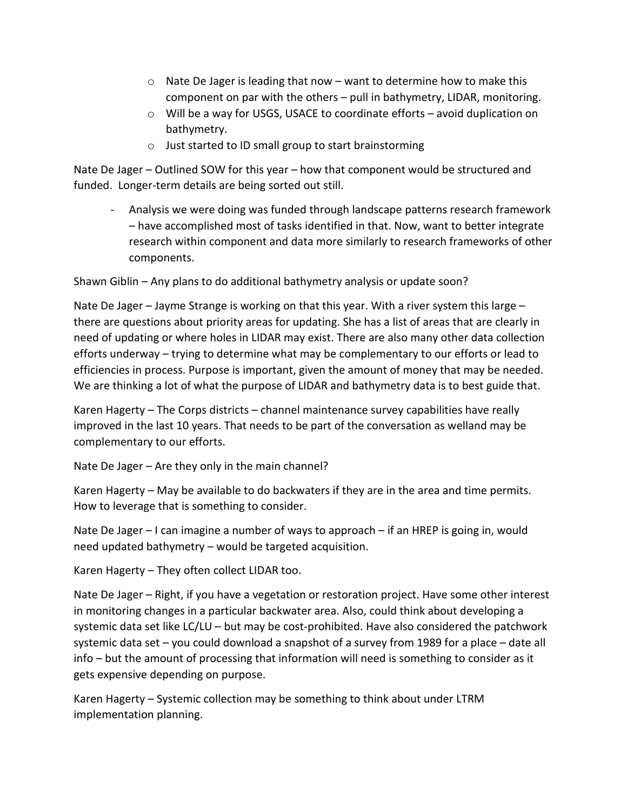- $\circ$  Nate De Jager is leading that now want to determine how to make this component on par with the others – pull in bathymetry, LIDAR, monitoring.
- o Will be a way for USGS, USACE to coordinate efforts avoid duplication on bathymetry.
- o Just started to ID small group to start brainstorming

Nate De Jager – Outlined SOW for this year – how that component would be structured and funded. Longer-term details are being sorted out still.

 - Analysis we were doing was funded through landscape patterns research framework – have accomplished most of tasks identified in that. Now, want to better integrate research within component and data more similarly to research frameworks of other components.

Shawn Giblin – Any plans to do additional bathymetry analysis or update soon?

 efforts underway – trying to determine what may be complementary to our efforts or lead to We are thinking a lot of what the purpose of LIDAR and bathymetry data is to best guide that. Nate De Jager – Jayme Strange is working on that this year. With a river system this large – there are questions about priority areas for updating. She has a list of areas that are clearly in need of updating or where holes in LIDAR may exist. There are also many other data collection efficiencies in process. Purpose is important, given the amount of money that may be needed.

 Karen Hagerty – The Corps districts – channel maintenance survey capabilities have really improved in the last 10 years. That needs to be part of the conversation as welland may be complementary to our efforts.

Nate De Jager – Are they only in the main channel?

 Karen Hagerty – May be available to do backwaters if they are in the area and time permits. How to leverage that is something to consider.

 Nate De Jager – I can imagine a number of ways to approach – if an HREP is going in, would need updated bathymetry – would be targeted acquisition.

Karen Hagerty – They often collect LIDAR too.

 systemic data set like LC/LU – but may be cost-prohibited. Have also considered the patchwork systemic data set – you could download a snapshot of a survey from 1989 for a place – date all Nate De Jager – Right, if you have a vegetation or restoration project. Have some other interest in monitoring changes in a particular backwater area. Also, could think about developing a info – but the amount of processing that information will need is something to consider as it gets expensive depending on purpose.

 Karen Hagerty – Systemic collection may be something to think about under LTRM implementation planning.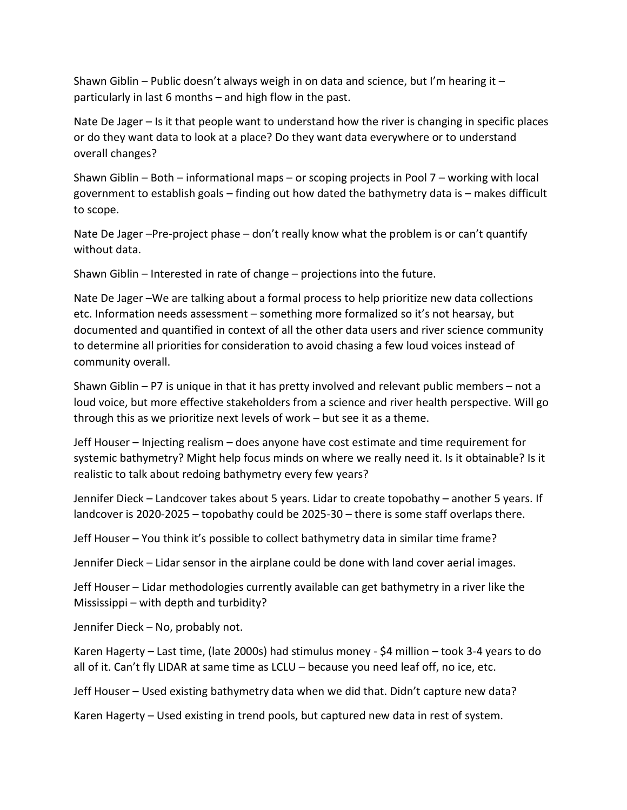Shawn Giblin – Public doesn't always weigh in on data and science, but I'm hearing it – particularly in last 6 months – and high flow in the past.

 Nate De Jager – Is it that people want to understand how the river is changing in specific places or do they want data to look at a place? Do they want data everywhere or to understand overall changes?

 government to establish goals – finding out how dated the bathymetry data is – makes difficult Shawn Giblin – Both – informational maps – or scoping projects in Pool 7 – working with local to scope.

Nate De Jager –Pre-project phase – don't really know what the problem is or can't quantify without data.

Shawn Giblin – Interested in rate of change – projections into the future.

 Nate De Jager –We are talking about a formal process to help prioritize new data collections etc. Information needs assessment – something more formalized so it's not hearsay, but documented and quantified in context of all the other data users and river science community to determine all priorities for consideration to avoid chasing a few loud voices instead of community overall.

 through this as we prioritize next levels of work – but see it as a theme. Shawn Giblin – P7 is unique in that it has pretty involved and relevant public members – not a loud voice, but more effective stakeholders from a science and river health perspective. Will go

 systemic bathymetry? Might help focus minds on where we really need it. Is it obtainable? Is it realistic to talk about redoing bathymetry every few years? Jeff Houser – Injecting realism – does anyone have cost estimate and time requirement for

 landcover is 2020-2025 – topobathy could be 2025-30 – there is some staff overlaps there. Jennifer Dieck – Landcover takes about 5 years. Lidar to create topobathy – another 5 years. If

Jeff Houser – You think it's possible to collect bathymetry data in similar time frame?

Jennifer Dieck – Lidar sensor in the airplane could be done with land cover aerial images.

Jeff Houser – Lidar methodologies currently available can get bathymetry in a river like the Mississippi – with depth and turbidity?

Jennifer Dieck – No, probably not.

 Karen Hagerty – Last time, (late 2000s) had stimulus money - \$4 million – took 3-4 years to do all of it. Can't fly LIDAR at same time as LCLU – because you need leaf off, no ice, etc.

Jeff Houser – Used existing bathymetry data when we did that. Didn't capture new data?

Karen Hagerty – Used existing in trend pools, but captured new data in rest of system.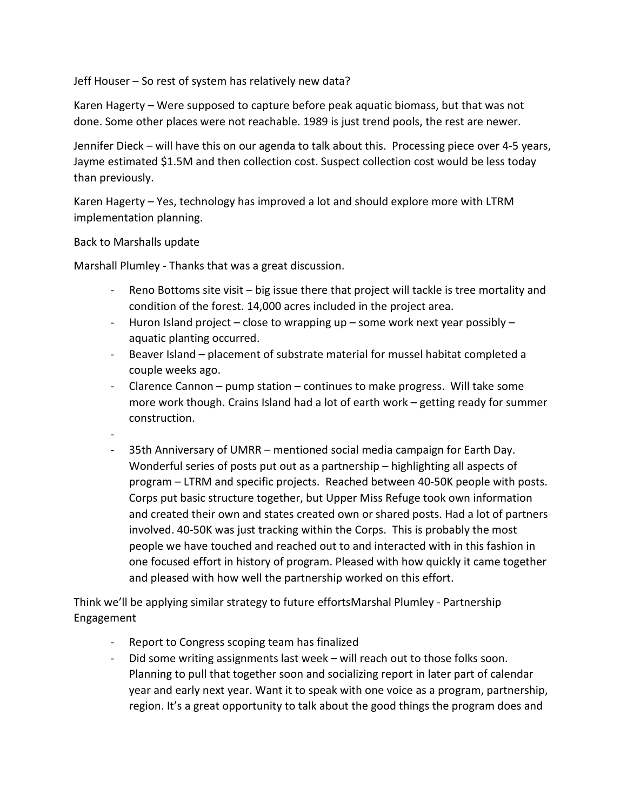Jeff Houser – So rest of system has relatively new data?

 Karen Hagerty – Were supposed to capture before peak aquatic biomass, but that was not done. Some other places were not reachable. 1989 is just trend pools, the rest are newer.

 Jennifer Dieck – will have this on our agenda to talk about this. Processing piece over 4-5 years, Jayme estimated \$1.5M and then collection cost. Suspect collection cost would be less today than previously.

 Karen Hagerty – Yes, technology has improved a lot and should explore more with LTRM implementation planning.

Back to Marshalls update

-

Marshall Plumley - Thanks that was a great discussion.

- Reno Bottoms site visit big issue there that project will tackle is tree mortality and condition of the forest. 14,000 acres included in the project area.
- Huron Island project close to wrapping up some work next year possibly aquatic planting occurred.
- Beaver Island placement of substrate material for mussel habitat completed a couple weeks ago.
- more work though. Crains Island had a lot of earth work getting ready for summer - Clarence Cannon – pump station – continues to make progress. Will take some construction.
- - 35th Anniversary of UMRR mentioned social media campaign for Earth Day. and created their own and states created own or shared posts. Had a lot of partners involved. 40-50K was just tracking within the Corps. This is probably the most people we have touched and reached out to and interacted with in this fashion in and pleased with how well the partnership worked on this effort. Wonderful series of posts put out as a partnership – highlighting all aspects of program – LTRM and specific projects. Reached between 40-50K people with posts. Corps put basic structure together, but Upper Miss Refuge took own information one focused effort in history of program. Pleased with how quickly it came together

 Think we'll be applying similar strategy to future effortsMarshal Plumley - Partnership Engagement

- Report to Congress scoping team has finalized
- - Did some writing assignments last week will reach out to those folks soon. Planning to pull that together soon and socializing report in later part of calendar year and early next year. Want it to speak with one voice as a program, partnership, region. It's a great opportunity to talk about the good things the program does and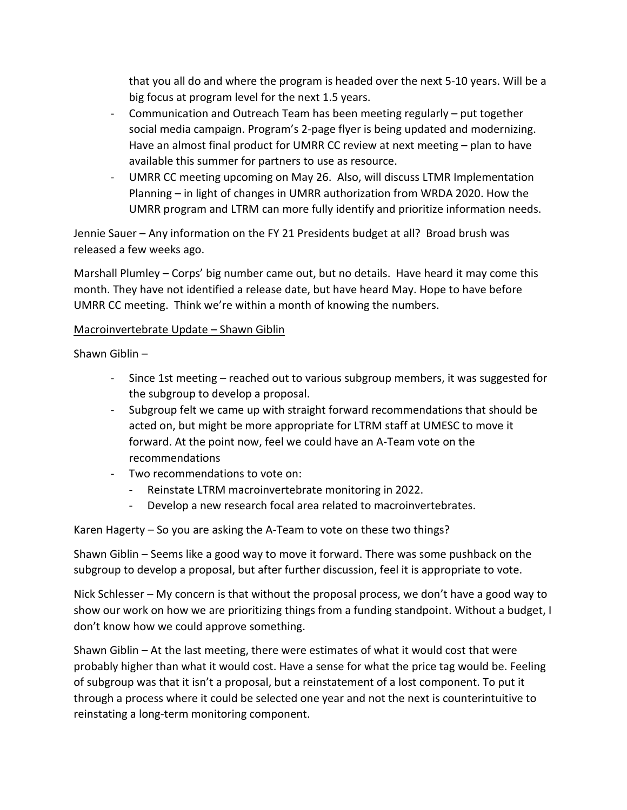that you all do and where the program is headed over the next 5-10 years. Will be a big focus at program level for the next 1.5 years.

- Communication and Outreach Team has been meeting regularly put together social media campaign. Program's 2-page flyer is being updated and modernizing. Have an almost final product for UMRR CC review at next meeting – plan to have available this summer for partners to use as resource.
- UMRR CC meeting upcoming on May 26. Also, will discuss LTMR Implementation Planning – in light of changes in UMRR authorization from WRDA 2020. How the UMRR program and LTRM can more fully identify and prioritize information needs.

 Jennie Sauer – Any information on the FY 21 Presidents budget at all? Broad brush was released a few weeks ago.

 month. They have not identified a release date, but have heard May. Hope to have before UMRR CC meeting. Think we're within a month of knowing the numbers. Marshall Plumley – Corps' big number came out, but no details. Have heard it may come this

#### Macroinvertebrate Update – Shawn Giblin

Shawn Giblin –

- the subgroup to develop a proposal. - Since 1st meeting – reached out to various subgroup members, it was suggested for
- acted on, but might be more appropriate for LTRM staff at UMESC to move it - Subgroup felt we came up with straight forward recommendations that should be forward. At the point now, feel we could have an A-Team vote on the recommendations
- Two recommendations to vote on:
	- Reinstate LTRM macroinvertebrate monitoring in 2022.
	- Develop a new research focal area related to macroinvertebrates.

Karen Hagerty – So you are asking the A-Team to vote on these two things?

 subgroup to develop a proposal, but after further discussion, feel it is appropriate to vote. Shawn Giblin – Seems like a good way to move it forward. There was some pushback on the

 Nick Schlesser – My concern is that without the proposal process, we don't have a good way to show our work on how we are prioritizing things from a funding standpoint. Without a budget, I don't know how we could approve something.

 probably higher than what it would cost. Have a sense for what the price tag would be. Feeling through a process where it could be selected one year and not the next is counterintuitive to reinstating a long-term monitoring component. Shawn Giblin – At the last meeting, there were estimates of what it would cost that were of subgroup was that it isn't a proposal, but a reinstatement of a lost component. To put it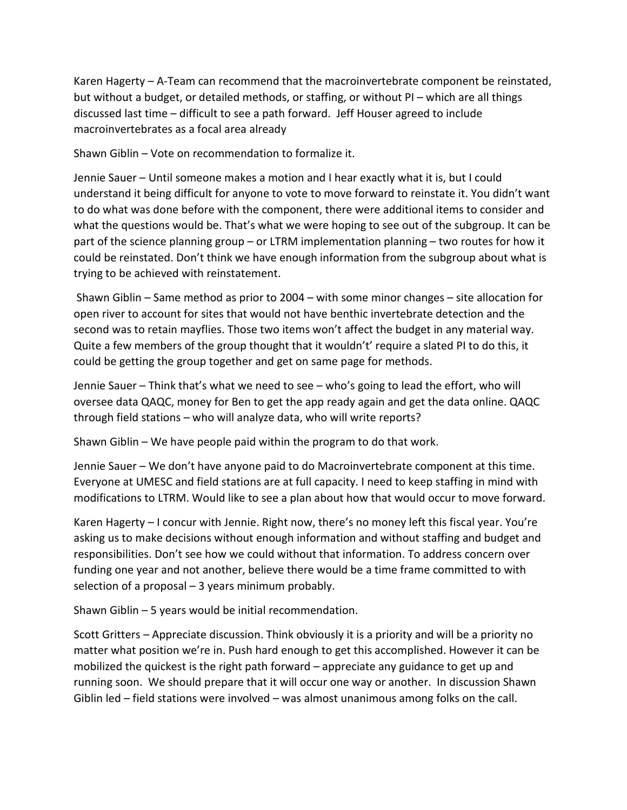discussed last time – difficult to see a path forward. Jeff Houser agreed to include Karen Hagerty – A-Team can recommend that the macroinvertebrate component be reinstated, but without a budget, or detailed methods, or staffing, or without PI – which are all things macroinvertebrates as a focal area already

Shawn Giblin – Vote on recommendation to formalize it.

 understand it being difficult for anyone to vote to move forward to reinstate it. You didn't want to do what was done before with the component, there were additional items to consider and what the questions would be. That's what we were hoping to see out of the subgroup. It can be part of the science planning group – or LTRM implementation planning – two routes for how it could be reinstated. Don't think we have enough information from the subgroup about what is Jennie Sauer – Until someone makes a motion and I hear exactly what it is, but I could trying to be achieved with reinstatement.

 second was to retain mayflies. Those two items won't affect the budget in any material way. Shawn Giblin – Same method as prior to 2004 – with some minor changes – site allocation for open river to account for sites that would not have benthic invertebrate detection and the Quite a few members of the group thought that it wouldn't' require a slated PI to do this, it could be getting the group together and get on same page for methods.

 Jennie Sauer – Think that's what we need to see – who's going to lead the effort, who will through field stations – who will analyze data, who will write reports? oversee data QAQC, money for Ben to get the app ready again and get the data online. QAQC

Shawn Giblin – We have people paid within the program to do that work.

 Jennie Sauer – We don't have anyone paid to do Macroinvertebrate component at this time. Everyone at UMESC and field stations are at full capacity. I need to keep staffing in mind with modifications to LTRM. Would like to see a plan about how that would occur to move forward.

 Karen Hagerty – I concur with Jennie. Right now, there's no money left this fiscal year. You're asking us to make decisions without enough information and without staffing and budget and responsibilities. Don't see how we could without that information. To address concern over funding one year and not another, believe there would be a time frame committed to with selection of a proposal – 3 years minimum probably.

Shawn Giblin – 5 years would be initial recommendation.

 Scott Gritters – Appreciate discussion. Think obviously it is a priority and will be a priority no matter what position we're in. Push hard enough to get this accomplished. However it can be mobilized the quickest is the right path forward – appreciate any guidance to get up and running soon. We should prepare that it will occur one way or another. In discussion Shawn Giblin led – field stations were involved – was almost unanimous among folks on the call.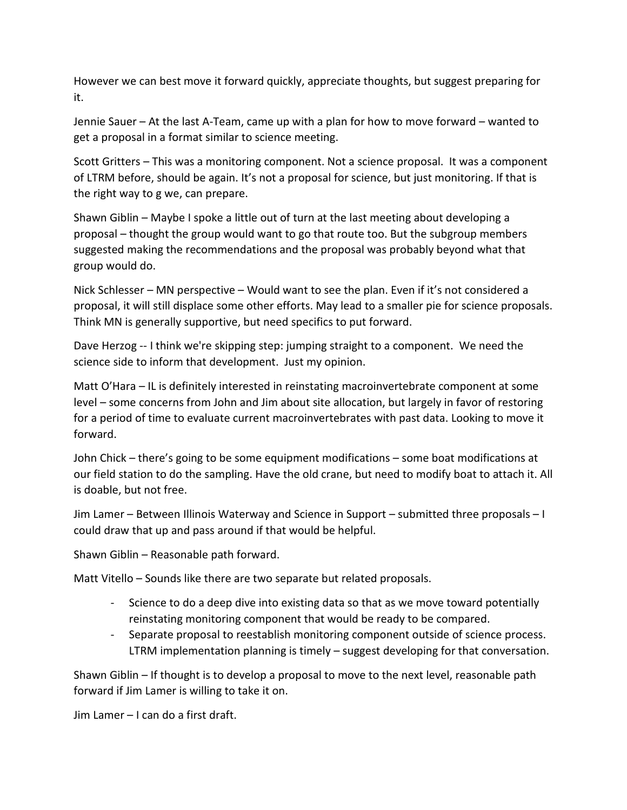However we can best move it forward quickly, appreciate thoughts, but suggest preparing for it.

 Jennie Sauer – At the last A-Team, came up with a plan for how to move forward – wanted to get a proposal in a format similar to science meeting.

 of LTRM before, should be again. It's not a proposal for science, but just monitoring. If that is Scott Gritters – This was a monitoring component. Not a science proposal. It was a component the right way to g we, can prepare.

 suggested making the recommendations and the proposal was probably beyond what that Shawn Giblin – Maybe I spoke a little out of turn at the last meeting about developing a proposal – thought the group would want to go that route too. But the subgroup members group would do.

 Nick Schlesser – MN perspective – Would want to see the plan. Even if it's not considered a proposal, it will still displace some other efforts. May lead to a smaller pie for science proposals. Think MN is generally supportive, but need specifics to put forward.

 Dave Herzog -- I think we're skipping step: jumping straight to a component. We need the science side to inform that development. Just my opinion.

 for a period of time to evaluate current macroinvertebrates with past data. Looking to move it Matt O'Hara – IL is definitely interested in reinstating macroinvertebrate component at some level – some concerns from John and Jim about site allocation, but largely in favor of restoring forward.

 John Chick – there's going to be some equipment modifications – some boat modifications at our field station to do the sampling. Have the old crane, but need to modify boat to attach it. All is doable, but not free.

Jim Lamer – Between Illinois Waterway and Science in Support – submitted three proposals – I could draw that up and pass around if that would be helpful.

Shawn Giblin – Reasonable path forward.

Matt Vitello – Sounds like there are two separate but related proposals.

- - Science to do a deep dive into existing data so that as we move toward potentially reinstating monitoring component that would be ready to be compared.
- - Separate proposal to reestablish monitoring component outside of science process. LTRM implementation planning is timely – suggest developing for that conversation.

 Shawn Giblin – If thought is to develop a proposal to move to the next level, reasonable path forward if Jim Lamer is willing to take it on.

Jim Lamer – I can do a first draft.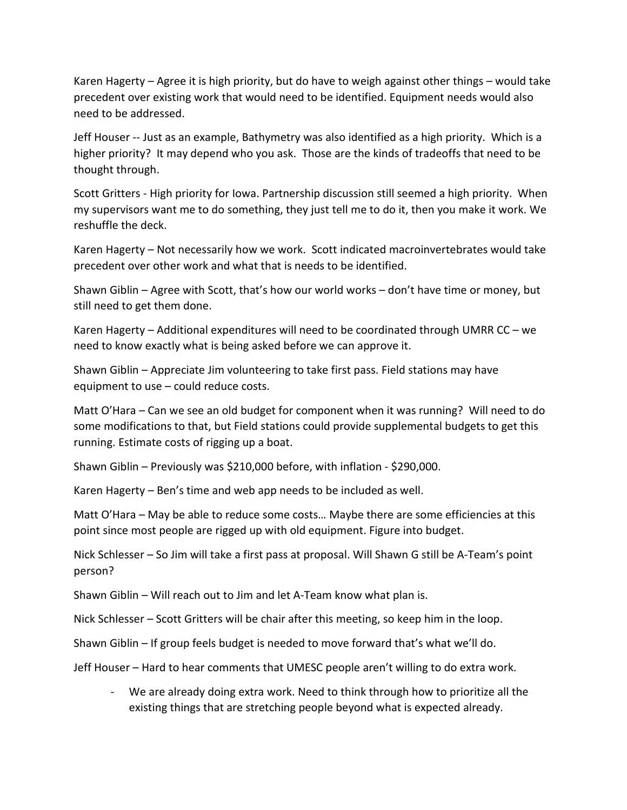Karen Hagerty – Agree it is high priority, but do have to weigh against other things – would take precedent over existing work that would need to be identified. Equipment needs would also need to be addressed.

 higher priority? It may depend who you ask. Those are the kinds of tradeoffs that need to be Jeff Houser -- Just as an example, Bathymetry was also identified as a high priority. Which is a thought through.

 Scott Gritters - High priority for Iowa. Partnership discussion still seemed a high priority. When my supervisors want me to do something, they just tell me to do it, then you make it work. We reshuffle the deck.

 Karen Hagerty – Not necessarily how we work. Scott indicated macroinvertebrates would take precedent over other work and what that is needs to be identified.

 Shawn Giblin – Agree with Scott, that's how our world works – don't have time or money, but still need to get them done.

Karen Hagerty – Additional expenditures will need to be coordinated through UMRR CC – we need to know exactly what is being asked before we can approve it.

 Shawn Giblin – Appreciate Jim volunteering to take first pass. Field stations may have equipment to use – could reduce costs.

 Matt O'Hara – Can we see an old budget for component when it was running? Will need to do some modifications to that, but Field stations could provide supplemental budgets to get this running. Estimate costs of rigging up a boat.

Shawn Giblin – Previously was \$210,000 before, with inflation - \$290,000.

Karen Hagerty – Ben's time and web app needs to be included as well.

 point since most people are rigged up with old equipment. Figure into budget. Matt O'Hara – May be able to reduce some costs… Maybe there are some efficiencies at this

Nick Schlesser – So Jim will take a first pass at proposal. Will Shawn G still be A-Team's point person?

Shawn Giblin – Will reach out to Jim and let A-Team know what plan is.

Nick Schlesser – Scott Gritters will be chair after this meeting, so keep him in the loop.

Shawn Giblin – If group feels budget is needed to move forward that's what we'll do.

Jeff Houser – Hard to hear comments that UMESC people aren't willing to do extra work.

- We are already doing extra work. Need to think through how to prioritize all the existing things that are stretching people beyond what is expected already.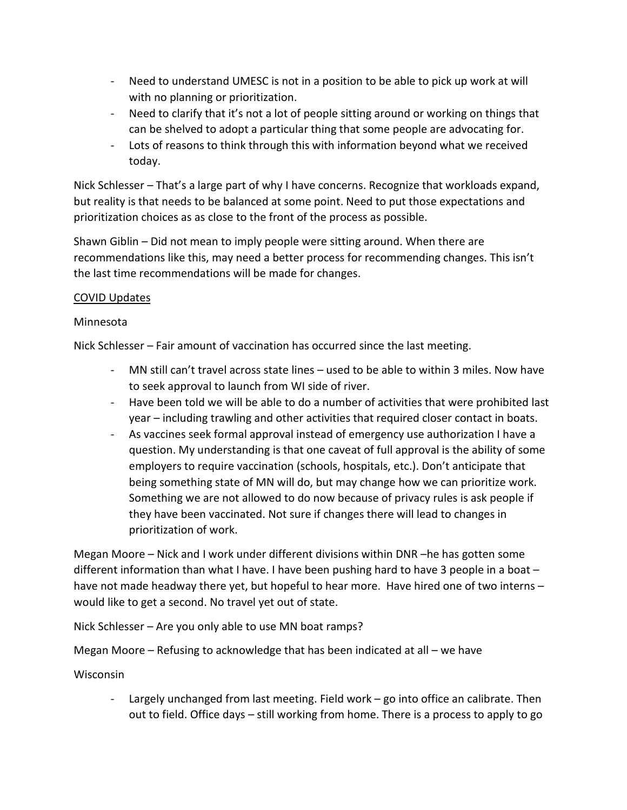- - Need to understand UMESC is not in a position to be able to pick up work at will with no planning or prioritization.
- - Need to clarify that it's not a lot of people sitting around or working on things that can be shelved to adopt a particular thing that some people are advocating for.
- - Lots of reasons to think through this with information beyond what we received today.

 but reality is that needs to be balanced at some point. Need to put those expectations and prioritization choices as as close to the front of the process as possible. Nick Schlesser – That's a large part of why I have concerns. Recognize that workloads expand,

 Shawn Giblin – Did not mean to imply people were sitting around. When there are recommendations like this, may need a better process for recommending changes. This isn't the last time recommendations will be made for changes.

# COVID Updates

# Minnesota

Nick Schlesser – Fair amount of vaccination has occurred since the last meeting.

- - MN still can't travel across state lines used to be able to within 3 miles. Now have to seek approval to launch from WI side of river.
- year including trawling and other activities that required closer contact in boats. - Have been told we will be able to do a number of activities that were prohibited last
- year including trawling and other activities that required closer contact in boats.<br>- As vaccines seek formal approval instead of emergency use authorization I have a question. My understanding is that one caveat of full approval is the ability of some Something we are not allowed to do now because of privacy rules is ask people if they have been vaccinated. Not sure if changes there will lead to changes in prioritization of work. employers to require vaccination (schools, hospitals, etc.). Don't anticipate that being something state of MN will do, but may change how we can prioritize work.

 Megan Moore – Nick and I work under different divisions within DNR –he has gotten some different information than what I have. I have been pushing hard to have 3 people in a boat – have not made headway there yet, but hopeful to hear more. Have hired one of two interns – would like to get a second. No travel yet out of state.

Nick Schlesser – Are you only able to use MN boat ramps?

Megan Moore – Refusing to acknowledge that has been indicated at all – we have

Wisconsin

 - Largely unchanged from last meeting. Field work – go into office an calibrate. Then out to field. Office days – still working from home. There is a process to apply to go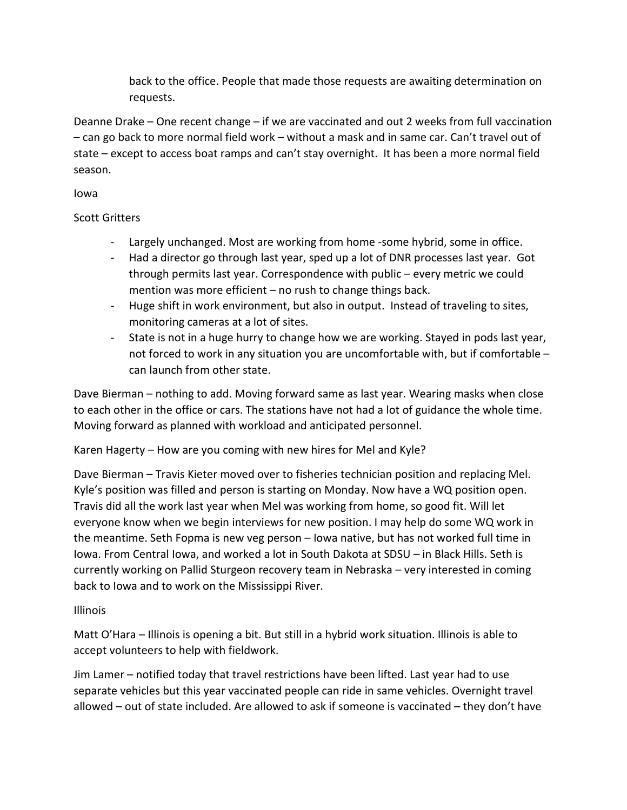back to the office. People that made those requests are awaiting determination on requests.

 – can go back to more normal field work – without a mask and in same car. Can't travel out of state – except to access boat ramps and can't stay overnight. It has been a more normal field Deanne Drake – One recent change – if we are vaccinated and out 2 weeks from full vaccination season.

Iowa

#### Scott Gritters

- Largely unchanged. Most are working from home -some hybrid, some in office.
- - Had a director go through last year, sped up a lot of DNR processes last year. Got through permits last year. Correspondence with public – every metric we could mention was more efficient – no rush to change things back.
- - Huge shift in work environment, but also in output. Instead of traveling to sites, monitoring cameras at a lot of sites.
- - State is not in a huge hurry to change how we are working. Stayed in pods last year, not forced to work in any situation you are uncomfortable with, but if comfortable – can launch from other state.

 Dave Bierman – nothing to add. Moving forward same as last year. Wearing masks when close to each other in the office or cars. The stations have not had a lot of guidance the whole time. Moving forward as planned with workload and anticipated personnel.

Karen Hagerty – How are you coming with new hires for Mel and Kyle?

Dave Bierman - Travis Kieter moved over to fisheries technician position and replacing Mel. Travis did all the work last year when Mel was working from home, so good fit. Will let everyone know when we begin interviews for new position. I may help do some WQ work in Kyle's position was filled and person is starting on Monday. Now have a WQ position open. the meantime. Seth Fopma is new veg person – Iowa native, but has not worked full time in Iowa. From Central Iowa, and worked a lot in South Dakota at SDSU – in Black Hills. Seth is currently working on Pallid Sturgeon recovery team in Nebraska – very interested in coming back to Iowa and to work on the Mississippi River.

# Illinois

Matt O'Hara – Illinois is opening a bit. But still in a hybrid work situation. Illinois is able to accept volunteers to help with fieldwork.

 Jim Lamer – notified today that travel restrictions have been lifted. Last year had to use allowed – out of state included. Are allowed to ask if someone is vaccinated – they don't have separate vehicles but this year vaccinated people can ride in same vehicles. Overnight travel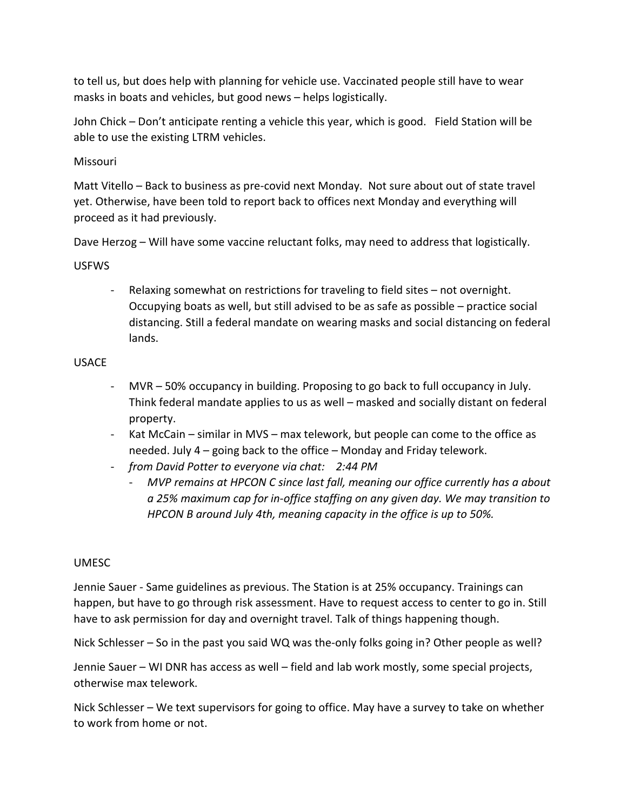to tell us, but does help with planning for vehicle use. Vaccinated people still have to wear masks in boats and vehicles, but good news – helps logistically.

 John Chick – Don't anticipate renting a vehicle this year, which is good. Field Station will be able to use the existing LTRM vehicles.

### Missouri

Matt Vitello – Back to business as pre-covid next Monday. Not sure about out of state travel yet. Otherwise, have been told to report back to offices next Monday and everything will proceed as it had previously.

Dave Herzog – Will have some vaccine reluctant folks, may need to address that logistically.

#### USFWS

 - Relaxing somewhat on restrictions for traveling to field sites – not overnight. Occupying boats as well, but still advised to be as safe as possible – practice social distancing. Still a federal mandate on wearing masks and social distancing on federal lands.

#### USACE

- Think federal mandate applies to us as well masked and socially distant on federal - MVR – 50% occupancy in building. Proposing to go back to full occupancy in July. property.
- needed. July 4 going back to the office Monday and Friday telework. - Kat McCain – similar in MVS – max telework, but people can come to the office as
- *from David Potter to everyone via chat: 2:44 PM* 
	- *HPCON B around July 4th, meaning capacity in the office is up to 50%.* - *MVP remains at HPCON C since last fall, meaning our office currently has a about a 25% maximum cap for in-office staffing on any given day. We may transition to*

#### UMESC

 happen, but have to go through risk assessment. Have to request access to center to go in. Still have to ask permission for day and overnight travel. Talk of things happening though. Jennie Sauer - Same guidelines as previous. The Station is at 25% occupancy. Trainings can

Nick Schlesser – So in the past you said WQ was the-only folks going in? Other people as well?

Jennie Sauer – WI DNR has access as well – field and lab work mostly, some special projects, otherwise max telework.

 Nick Schlesser – We text supervisors for going to office. May have a survey to take on whether to work from home or not.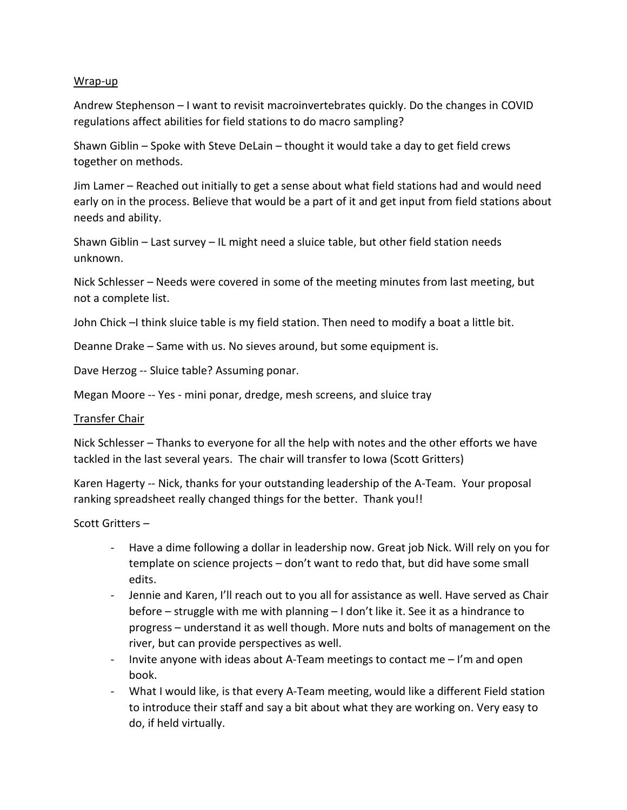#### Wrap-up

 regulations affect abilities for field stations to do macro sampling? Andrew Stephenson – I want to revisit macroinvertebrates quickly. Do the changes in COVID

Shawn Giblin – Spoke with Steve DeLain – thought it would take a day to get field crews together on methods.

Jim Lamer – Reached out initially to get a sense about what field stations had and would need early on in the process. Believe that would be a part of it and get input from field stations about needs and ability.

 Shawn Giblin – Last survey – IL might need a sluice table, but other field station needs unknown.

Nick Schlesser – Needs were covered in some of the meeting minutes from last meeting, but not a complete list.

John Chick –I think sluice table is my field station. Then need to modify a boat a little bit.

Deanne Drake – Same with us. No sieves around, but some equipment is.

Dave Herzog -- Sluice table? Assuming ponar.

Megan Moore -- Yes - mini ponar, dredge, mesh screens, and sluice tray

#### Transfer Chair

 Nick Schlesser – Thanks to everyone for all the help with notes and the other efforts we have tackled in the last several years. The chair will transfer to Iowa (Scott Gritters)

 ranking spreadsheet really changed things for the better. Thank you!! Karen Hagerty -- Nick, thanks for your outstanding leadership of the A-Team. Your proposal

Scott Gritters-

- template on science projects don't want to redo that, but did have some small - Have a dime following a dollar in leadership now. Great job Nick. Will rely on you for edits.
- river, but can provide perspectives as well. - Jennie and Karen, I'll reach out to you all for assistance as well. Have served as Chair before – struggle with me with planning – I don't like it. See it as a hindrance to progress – understand it as well though. More nuts and bolts of management on the
- Invite anyone with ideas about A-Team meetings to contact me I'm and open book.
- What I would like, is that every A-Team meeting, would like a different Field station to introduce their staff and say a bit about what they are working on. Very easy to do, if held virtually.